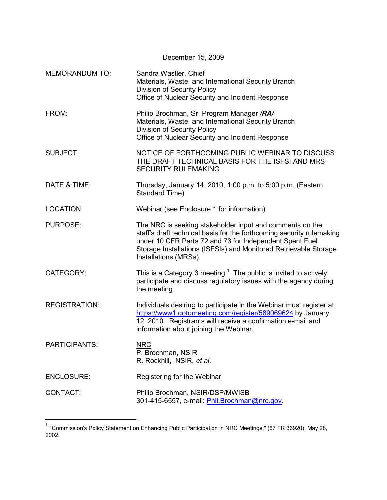| December 15, 2009     |                                                                                                                                                                                                                                                                                           |  |  |  |
|-----------------------|-------------------------------------------------------------------------------------------------------------------------------------------------------------------------------------------------------------------------------------------------------------------------------------------|--|--|--|
| <b>MEMORANDUM TO:</b> | Sandra Wastler, Chief<br>Materials, Waste, and International Security Branch<br><b>Division of Security Policy</b><br>Office of Nuclear Security and Incident Response                                                                                                                    |  |  |  |
| FROM:                 | Philip Brochman, Sr. Program Manager /RA/<br>Materials, Waste, and International Security Branch<br><b>Division of Security Policy</b><br>Office of Nuclear Security and Incident Response                                                                                                |  |  |  |
| <b>SUBJECT:</b>       | NOTICE OF FORTHCOMING PUBLIC WEBINAR TO DISCUSS<br>THE DRAFT TECHNICAL BASIS FOR THE ISFSI AND MRS<br><b>SECURITY RULEMAKING</b>                                                                                                                                                          |  |  |  |
| DATE & TIME:          | Thursday, January 14, 2010, 1:00 p.m. to 5:00 p.m. (Eastern<br>Standard Time)                                                                                                                                                                                                             |  |  |  |
| <b>LOCATION:</b>      | Webinar (see Enclosure 1 for information)                                                                                                                                                                                                                                                 |  |  |  |
| PURPOSE:              | The NRC is seeking stakeholder input and comments on the<br>staff's draft technical basis for the forthcoming security rulemaking<br>under 10 CFR Parts 72 and 73 for Independent Spent Fuel<br>Storage Installations (ISFSIs) and Monitored Retrievable Storage<br>Installations (MRSs). |  |  |  |
| CATEGORY:             | This is a Category 3 meeting. <sup>1</sup> The public is invited to actively<br>participate and discuss regulatory issues with the agency during<br>the meeting.                                                                                                                          |  |  |  |
| <b>REGISTRATION:</b>  | Individuals desiring to participate in the Webinar must register at<br>https://www1.gotomeeting.com/register/589069624 by January<br>12, 2010. Registrants will receive a confirmation e-mail and<br>information about joining the Webinar.                                               |  |  |  |
| <b>PARTICIPANTS:</b>  | <b>NRC</b><br>P. Brochman, NSIR<br>R. Rockhill, NSIR, et al.                                                                                                                                                                                                                              |  |  |  |
| <b>ENCLOSURE:</b>     | Registering for the Webinar                                                                                                                                                                                                                                                               |  |  |  |
| CONTACT:              | Philip Brochman, NSIR/DSP/MWISB<br>301-415-6557, e-mail: Phil.Brochman@nrc.gov.                                                                                                                                                                                                           |  |  |  |

 $^{1}$  "Commission's Policy Statement on Enhancing Public Participation in NRC Meetings," (67 FR 36920), May 28, 2002.

1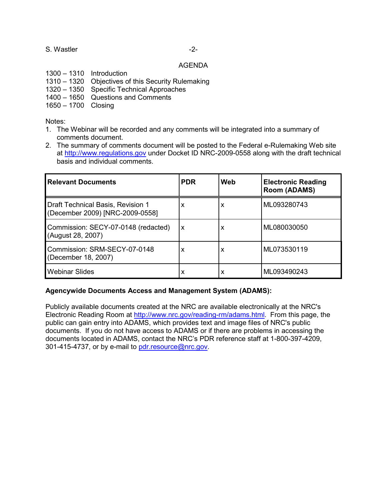## S. Wastler  $-2$ -

#### AGENDA

- 1300 1310 Introduction
- 1310 1320 Objectives of this Security Rulemaking
- 1320 1350 Specific Technical Approaches
- 1400 1650 Questions and Comments
- 1650 1700 Closing

Notes:

- 1. The Webinar will be recorded and any comments will be integrated into a summary of comments document.
- 2. The summary of comments document will be posted to the Federal e-Rulemaking Web site at http://www.regulations.gov under Docket ID NRC-2009-0558 along with the draft technical basis and individual comments.

| <b>Relevant Documents</b>                                            | <b>PDR</b> | Web | <b>Electronic Reading</b><br><b>Room (ADAMS)</b> |
|----------------------------------------------------------------------|------------|-----|--------------------------------------------------|
| Draft Technical Basis, Revision 1<br>(December 2009) [NRC-2009-0558] | x          | X   | ML093280743                                      |
| Commission: SECY-07-0148 (redacted)<br>(August 28, 2007)             | X          | x   | ML080030050                                      |
| Commission: SRM-SECY-07-0148<br>(December 18, 2007)                  | x          | x   | ML073530119                                      |
| <b>Webinar Slides</b>                                                | x          | x   | ML093490243                                      |

### **Agencywide Documents Access and Management System (ADAMS):**

Publicly available documents created at the NRC are available electronically at the NRC's Electronic Reading Room at http://www.nrc.gov/reading-rm/adams.html. From this page, the public can gain entry into ADAMS, which provides text and image files of NRC's public documents. If you do not have access to ADAMS or if there are problems in accessing the documents located in ADAMS, contact the NRC's PDR reference staff at 1-800-397-4209, 301-415-4737, or by e-mail to pdr.resource@nrc.gov.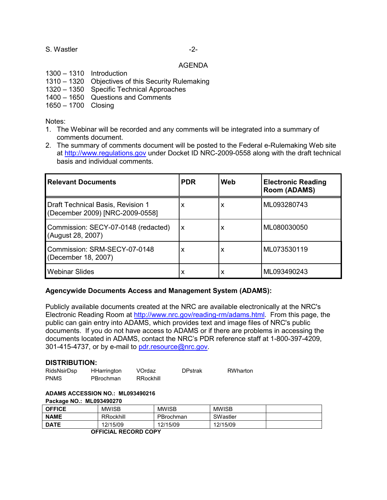## S. Wastler  $-2$ -

#### AGENDA

- 1300 1310 Introduction
- 1310 1320 Objectives of this Security Rulemaking
- 1320 1350 Specific Technical Approaches
- 1400 1650 Questions and Comments
- 1650 1700 Closing

Notes:

- 1. The Webinar will be recorded and any comments will be integrated into a summary of comments document.
- 2. The summary of comments document will be posted to the Federal e-Rulemaking Web site at http://www.regulations.gov under Docket ID NRC-2009-0558 along with the draft technical basis and individual comments.

| <b>Relevant Documents</b>                                            | <b>PDR</b> | Web | <b>Electronic Reading</b><br><b>Room (ADAMS)</b> |
|----------------------------------------------------------------------|------------|-----|--------------------------------------------------|
| Draft Technical Basis, Revision 1<br>(December 2009) [NRC-2009-0558] | x          | X   | ML093280743                                      |
| Commission: SECY-07-0148 (redacted)<br>(August 28, 2007)             | X          | X   | ML080030050                                      |
| Commission: SRM-SECY-07-0148<br>(December 18, 2007)                  | X          | X   | ML073530119                                      |
| <b>Webinar Slides</b>                                                | X          | X   | ML093490243                                      |

### **Agencywide Documents Access and Management System (ADAMS):**

Publicly available documents created at the NRC are available electronically at the NRC's Electronic Reading Room at http://www.nrc.gov/reading-rm/adams.html. From this page, the public can gain entry into ADAMS, which provides text and image files of NRC's public documents. If you do not have access to ADAMS or if there are problems in accessing the documents located in ADAMS, contact the NRC's PDR reference staff at 1-800-397-4209, 301-415-4737, or by e-mail to pdr.resource@nrc.gov.

### **DISTRIBUTION:**

| RidsNsirDsp | <b>HHarrington</b> | VOrdaz    | <b>DPstrak</b> | RWharton |
|-------------|--------------------|-----------|----------------|----------|
| <b>PNMS</b> | PBrochman          | RRockhill |                |          |

#### **ADAMS ACCESSION NO.: ML093490216 Package NO.: ML093490270**

| $1$ achage $1$ $m = 0.00 + 0.021$ |              |              |              |  |
|-----------------------------------|--------------|--------------|--------------|--|
| <b>OFFICE</b>                     | <b>MWISB</b> | <b>MWISB</b> | <b>MWISB</b> |  |
| <b>NAME</b>                       | RRockhill    | PBrochman    | SWastler     |  |
| <b>DATE</b>                       | 12/15/09     | 12/15/09     | 12/15/09     |  |
| _ ___ _ _ _ _                     |              |              |              |  |

**OFFICIAL RECORD COPY**